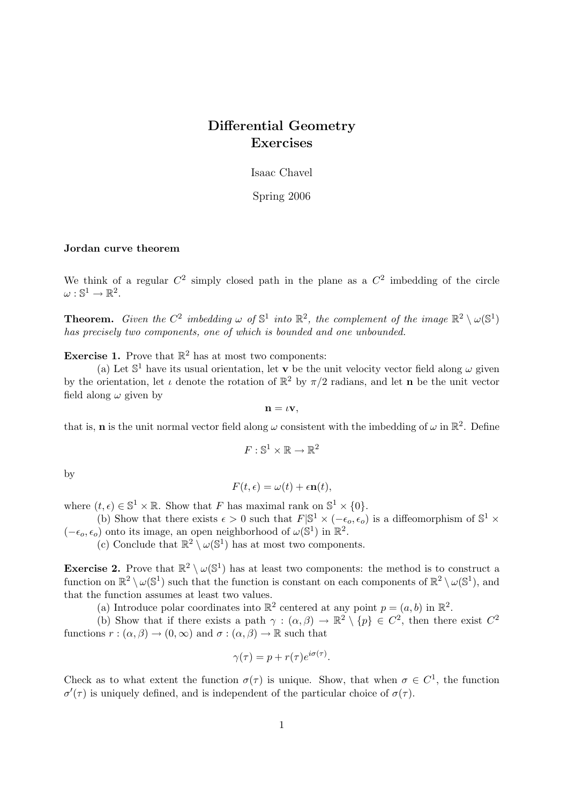# Differential Geometry Exercises

Isaac Chavel

Spring 2006

# Jordan curve theorem

We think of a regular  $C^2$  simply closed path in the plane as a  $C^2$  imbedding of the circle  $\omega: \mathbb{S}^1 \to \mathbb{R}^2.$ 

**Theorem.** Given the  $C^2$  imbedding  $\omega$  of  $\mathbb{S}^1$  into  $\mathbb{R}^2$ , the complement of the image  $\mathbb{R}^2 \setminus \omega(\mathbb{S}^1)$ has precisely two components, one of which is bounded and one unbounded.

**Exercise 1.** Prove that  $\mathbb{R}^2$  has at most two components:

(a) Let  $\mathbb{S}^1$  have its usual orientation, let **v** be the unit velocity vector field along  $\omega$  given by the orientation, let  $\iota$  denote the rotation of  $\mathbb{R}^2$  by  $\pi/2$  radians, and let **n** be the unit vector field along  $\omega$  given by

$$
\mathbf{n}=\iota\mathbf{v},
$$

that is, **n** is the unit normal vector field along  $\omega$  consistent with the imbedding of  $\omega$  in  $\mathbb{R}^2$ . Define

$$
F:\mathbb{S}^1\times\mathbb{R}\to\mathbb{R}^2
$$

by

$$
F(t,\epsilon) = \omega(t) + \epsilon \mathbf{n}(t),
$$

where  $(t, \epsilon) \in \mathbb{S}^1 \times \mathbb{R}$ . Show that F has maximal rank on  $\mathbb{S}^1 \times \{0\}$ .

(b) Show that there exists  $\epsilon > 0$  such that  $F|\mathbb{S}^1 \times (-\epsilon_o, \epsilon_o)$  is a diffeomorphism of  $\mathbb{S}^1 \times$  $(-\epsilon_o, \epsilon_o)$  onto its image, an open neighborhood of  $\omega(\mathbb{S}^1)$  in  $\mathbb{R}^2$ .

(c) Conclude that  $\mathbb{R}^2 \setminus \omega(\mathbb{S}^1)$  has at most two components.

**Exercise 2.** Prove that  $\mathbb{R}^2 \setminus \omega(\mathbb{S}^1)$  has at least two components: the method is to construct a function on  $\mathbb{R}^2 \setminus \omega(\mathbb{S}^1)$  such that the function is constant on each components of  $\mathbb{R}^2 \setminus \omega(\mathbb{S}^1)$ , and that the function assumes at least two values.

(a) Introduce polar coordinates into  $\mathbb{R}^2$  centered at any point  $p = (a, b)$  in  $\mathbb{R}^2$ .

(b) Show that if there exists a path  $\gamma : (\alpha, \beta) \to \mathbb{R}^2 \setminus \{p\} \in C^2$ , then there exist  $C^2$ functions  $r : (\alpha, \beta) \to (0, \infty)$  and  $\sigma : (\alpha, \beta) \to \mathbb{R}$  such that

$$
\gamma(\tau) = p + r(\tau)e^{i\sigma(\tau)}.
$$

Check as to what extent the function  $\sigma(\tau)$  is unique. Show, that when  $\sigma \in C^1$ , the function  $\sigma'(\tau)$  is uniquely defined, and is independent of the particular choice of  $\sigma(\tau)$ .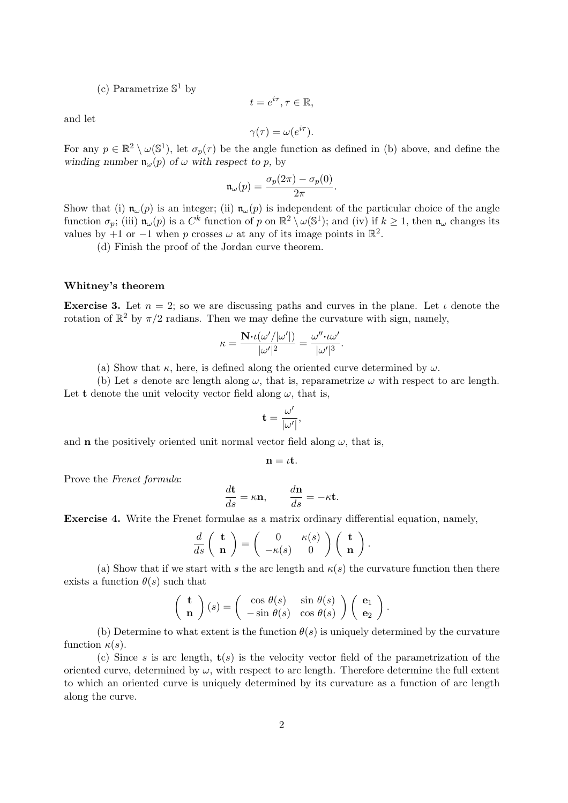(c) Parametrize  $\mathbb{S}^1$  by

$$
t=e^{i\tau}, \tau\in\mathbb{R},
$$

and let

$$
\gamma(\tau) = \omega(e^{i\tau}).
$$

For any  $p \in \mathbb{R}^2 \setminus \omega(\mathbb{S}^1)$ , let  $\sigma_p(\tau)$  be the angle function as defined in (b) above, and define the winding number  $\mathfrak{n}_{\omega}(p)$  of  $\omega$  with respect to p, by

$$
\mathfrak{n}_\omega(p) = \frac{\sigma_p(2\pi)-\sigma_p(0)}{2\pi}.
$$

Show that (i)  $\mathfrak{n}_{\omega}(p)$  is an integer; (ii)  $\mathfrak{n}_{\omega}(p)$  is independent of the particular choice of the angle function  $\sigma_p$ ; (iii)  $\mathfrak{n}_{\omega}(p)$  is a  $C^k$  function of p on  $\mathbb{R}^2 \setminus \omega(\mathbb{S}^1)$ ; and (iv) if  $k \geq 1$ , then  $\mathfrak{n}_{\omega}$  changes its values by +1 or -1 when p crosses  $\omega$  at any of its image points in  $\mathbb{R}^2$ .

(d) Finish the proof of the Jordan curve theorem.

## Whitney's theorem

**Exercise 3.** Let  $n = 2$ ; so we are discussing paths and curves in the plane. Let  $\iota$  denote the rotation of  $\mathbb{R}^2$  by  $\pi/2$  radians. Then we may define the curvature with sign, namely,

$$
\kappa = \frac{\mathbf{N} \cdot \iota(\omega'/|\omega'|)}{|\omega'|^2} = \frac{\omega'' \cdot \iota \omega'}{|\omega'|^3}.
$$

(a) Show that  $\kappa$ , here, is defined along the oriented curve determined by  $\omega$ .

(b) Let s denote arc length along  $\omega$ , that is, reparametrize  $\omega$  with respect to arc length. Let **t** denote the unit velocity vector field along  $\omega$ , that is,

$$
\mathbf{t} = \frac{\omega'}{|\omega'|},
$$

and **n** the positively oriented unit normal vector field along  $\omega$ , that is,

$$
\mathbf{n}=\iota\mathbf{t}.
$$

Prove the Frenet formula:

$$
\frac{d\mathbf{t}}{ds} = \kappa \mathbf{n}, \qquad \frac{d\mathbf{n}}{ds} = -\kappa \mathbf{t}.
$$

Exercise 4. Write the Frenet formulae as a matrix ordinary differential equation, namely,

$$
\frac{d}{ds}\left(\begin{array}{c}\mathbf{t} \\ \mathbf{n}\end{array}\right) = \left(\begin{array}{cc} 0 & \kappa(s) \\ -\kappa(s) & 0 \end{array}\right) \left(\begin{array}{c}\mathbf{t} \\ \mathbf{n}\end{array}\right).
$$

(a) Show that if we start with s the arc length and  $\kappa(s)$  the curvature function then there exists a function  $\theta(s)$  such that

$$
\begin{pmatrix} \mathbf{t} \\ \mathbf{n} \end{pmatrix} (s) = \begin{pmatrix} \cos \theta(s) & \sin \theta(s) \\ -\sin \theta(s) & \cos \theta(s) \end{pmatrix} \begin{pmatrix} \mathbf{e}_1 \\ \mathbf{e}_2 \end{pmatrix}.
$$

(b) Determine to what extent is the function  $\theta(s)$  is uniquely determined by the curvature function  $\kappa(s)$ .

(c) Since s is arc length,  $\mathbf{t}(s)$  is the velocity vector field of the parametrization of the oriented curve, determined by  $\omega$ , with respect to arc length. Therefore determine the full extent to which an oriented curve is uniquely determined by its curvature as a function of arc length along the curve.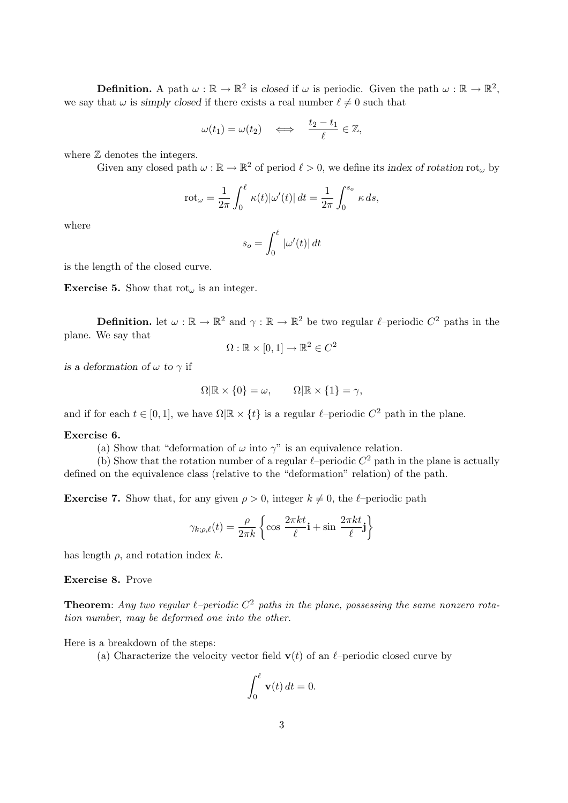**Definition.** A path  $\omega : \mathbb{R} \to \mathbb{R}^2$  is closed if  $\omega$  is periodic. Given the path  $\omega : \mathbb{R} \to \mathbb{R}^2$ , we say that  $\omega$  is simply closed if there exists a real number  $\ell \neq 0$  such that

$$
\omega(t_1) = \omega(t_2) \quad \Longleftrightarrow \quad \frac{t_2 - t_1}{\ell} \in \mathbb{Z},
$$

where  $\mathbb Z$  denotes the integers.

Given any closed path  $\omega : \mathbb{R} \to \mathbb{R}^2$  of period  $\ell > 0$ , we define its index of rotation rot<sub> $\omega$ </sub> by

$$
\mathrm{rot}_{\omega} = \frac{1}{2\pi} \int_0^{\ell} \kappa(t) |\omega'(t)| dt = \frac{1}{2\pi} \int_0^{s_o} \kappa ds,
$$

where

$$
s_o = \int_0^\ell |\omega'(t)| dt
$$

is the length of the closed curve.

**Exercise 5.** Show that  $\mathrm{rot}_{\omega}$  is an integer.

**Definition.** let  $\omega : \mathbb{R} \to \mathbb{R}^2$  and  $\gamma : \mathbb{R} \to \mathbb{R}^2$  be two regular  $\ell$ -periodic  $C^2$  paths in the plane. We say that

$$
\Omega: \mathbb{R} \times [0, 1] \to \mathbb{R}^2 \in C^2
$$

is a deformation of  $\omega$  to  $\gamma$  if

$$
\Omega | \mathbb{R} \times \{0\} = \omega, \qquad \Omega | \mathbb{R} \times \{1\} = \gamma,
$$

and if for each  $t \in [0, 1]$ , we have  $\Omega | \mathbb{R} \times \{t\}$  is a regular  $\ell$ –periodic  $C^2$  path in the plane.

# Exercise 6.

(a) Show that "deformation of  $\omega$  into  $\gamma$ " is an equivalence relation.

(b) Show that the rotation number of a regular  $\ell$ –periodic  $C^2$  path in the plane is actually defined on the equivalence class (relative to the "deformation" relation) of the path.

**Exercise 7.** Show that, for any given  $\rho > 0$ , integer  $k \neq 0$ , the  $\ell$ –periodic path

$$
\gamma_{k;\rho,\ell}(t) = \frac{\rho}{2\pi k} \left\{ \cos \frac{2\pi kt}{\ell} \mathbf{i} + \sin \frac{2\pi kt}{\ell} \mathbf{j} \right\}
$$

has length  $\rho$ , and rotation index k.

Exercise 8. Prove

**Theorem:** Any two regular  $\ell$ -periodic  $C^2$  paths in the plane, possessing the same nonzero rotation number, may be deformed one into the other.

Here is a breakdown of the steps:

(a) Characterize the velocity vector field  $\mathbf{v}(t)$  of an  $\ell$ –periodic closed curve by

$$
\int_0^\ell \mathbf{v}(t) \, dt = 0.
$$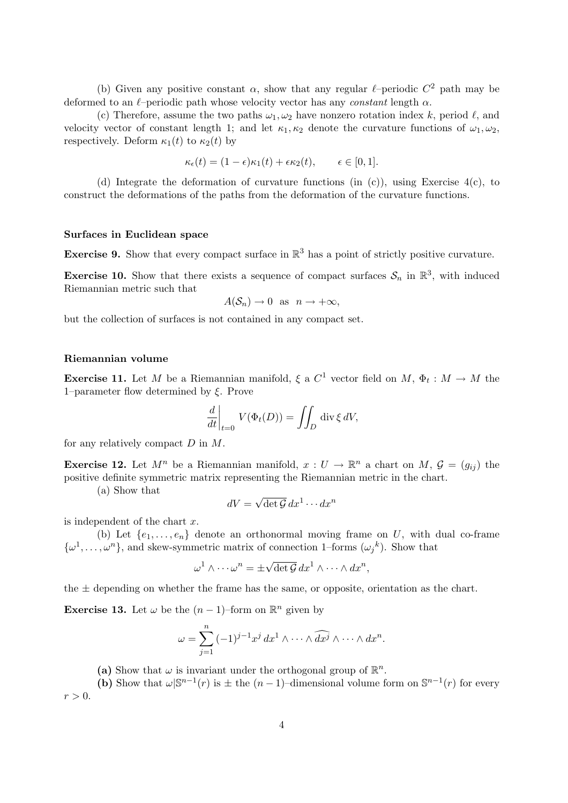(b) Given any positive constant  $\alpha$ , show that any regular  $\ell$ –periodic  $C^2$  path may be deformed to an  $\ell$ –periodic path whose velocity vector has any constant length  $\alpha$ .

(c) Therefore, assume the two paths  $\omega_1, \omega_2$  have nonzero rotation index k, period  $\ell$ , and velocity vector of constant length 1; and let  $\kappa_1, \kappa_2$  denote the curvature functions of  $\omega_1, \omega_2$ , respectively. Deform  $\kappa_1(t)$  to  $\kappa_2(t)$  by

$$
\kappa_{\epsilon}(t) = (1 - \epsilon)\kappa_1(t) + \epsilon \kappa_2(t), \qquad \epsilon \in [0, 1].
$$

(d) Integrate the deformation of curvature functions (in (c)), using Exercise 4(c), to construct the deformations of the paths from the deformation of the curvature functions.

# Surfaces in Euclidean space

**Exercise 9.** Show that every compact surface in  $\mathbb{R}^3$  has a point of strictly positive curvature.

**Exercise 10.** Show that there exists a sequence of compact surfaces  $\mathcal{S}_n$  in  $\mathbb{R}^3$ , with induced Riemannian metric such that

$$
A(\mathcal{S}_n)\to 0 \text{ as } n\to+\infty,
$$

but the collection of surfaces is not contained in any compact set.

## Riemannian volume

**Exercise 11.** Let M be a Riemannian manifold,  $\xi$  a  $C^1$  vector field on M,  $\Phi_t : M \to M$  the 1–parameter flow determined by  $\xi$ . Prove

$$
\left. \frac{d}{dt} \right|_{t=0} V(\Phi_t(D)) = \iint_D \operatorname{div} \xi \, dV,
$$

for any relatively compact  $D$  in  $M$ .

**Exercise 12.** Let  $M^n$  be a Riemannian manifold,  $x: U \to \mathbb{R}^n$  a chart on  $M, \mathcal{G} = (g_{ij})$  the positive definite symmetric matrix representing the Riemannian metric in the chart.

(a) Show that

$$
dV = \sqrt{\det \mathcal{G}} \, dx^1 \cdots dx^n
$$

is independent of the chart  $x$ .

(b) Let  $\{e_1, \ldots, e_n\}$  denote an orthonormal moving frame on U, with dual co-frame  $\{\omega^1,\ldots,\omega^n\}$ , and skew-symmetric matrix of connection 1-forms  $(\omega_j^k)$ . Show that

$$
\omega^1 \wedge \cdots \omega^n = \pm \sqrt{\det \mathcal{G}} \, dx^1 \wedge \cdots \wedge dx^n,
$$

the  $\pm$  depending on whether the frame has the same, or opposite, orientation as the chart.

**Exercise 13.** Let  $\omega$  be the  $(n-1)$ –form on  $\mathbb{R}^n$  given by

$$
\omega = \sum_{j=1}^n (-1)^{j-1} x^j dx^1 \wedge \cdots \wedge \widehat{dx^j} \wedge \cdots \wedge dx^n.
$$

(a) Show that  $\omega$  is invariant under the orthogonal group of  $\mathbb{R}^n$ .

(b) Show that  $\omega\vert S^{n-1}(r)$  is  $\pm$  the  $(n-1)$ -dimensional volume form on  $S^{n-1}(r)$  for every  $r > 0$ .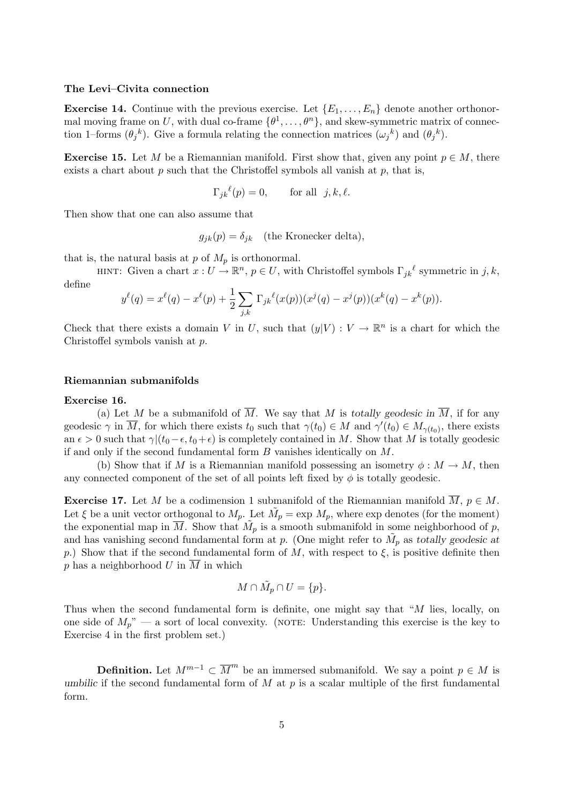#### The Levi–Civita connection

**Exercise 14.** Continue with the previous exercise. Let  $\{E_1, \ldots, E_n\}$  denote another orthonormal moving frame on U, with dual co-frame  $\{\theta^1, \ldots, \theta^n\}$ , and skew-symmetric matrix of connection 1–forms  $(\theta_j^k)$ . Give a formula relating the connection matrices  $(\omega_j^k)$  and  $(\theta_j^k)$ .

**Exercise 15.** Let M be a Riemannian manifold. First show that, given any point  $p \in M$ , there exists a chart about  $p$  such that the Christoffel symbols all vanish at  $p$ , that is,

$$
\Gamma_{jk}{}^{\ell}(p) = 0, \qquad \text{for all} \ \ j, k, \ell.
$$

Then show that one can also assume that

 $g_{ik}(p) = \delta_{ik}$  (the Kronecker delta),

that is, the natural basis at  $p$  of  $M_p$  is orthonormal.

HINT: Given a chart  $x: U \to \mathbb{R}^n$ ,  $p \in U$ , with Christoffel symbols  $\Gamma_{jk}{}^{\ell}$  symmetric in j, k, define

$$
y^{\ell}(q) = x^{\ell}(q) - x^{\ell}(p) + \frac{1}{2} \sum_{j,k} \Gamma_{jk}^{\ell}(x(p))(x^{j}(q) - x^{j}(p))(x^{k}(q) - x^{k}(p)).
$$

Check that there exists a domain V in U, such that  $(y|V) : V \to \mathbb{R}^n$  is a chart for which the Christoffel symbols vanish at p.

#### Riemannian submanifolds

#### Exercise 16.

(a) Let M be a submanifold of  $\overline{M}$ . We say that M is totally geodesic in  $\overline{M}$ , if for any geodesic  $\gamma$  in  $\overline{M}$ , for which there exists  $t_0$  such that  $\gamma(t_0) \in M$  and  $\gamma'(t_0) \in M_{\gamma(t_0)}$ , there exists an  $\epsilon > 0$  such that  $\gamma|(t_0-\epsilon, t_0+\epsilon)$  is completely contained in M. Show that M is totally geodesic if and only if the second fundamental form  $B$  vanishes identically on  $M$ .

(b) Show that if M is a Riemannian manifold possessing an isometry  $\phi : M \to M$ , then any connected component of the set of all points left fixed by  $\phi$  is totally geodesic.

**Exercise 17.** Let M be a codimension 1 submanifold of the Riemannian manifold  $\overline{M}$ ,  $p \in M$ . Let  $\xi$  be a unit vector orthogonal to  $M_p$ . Let  $\tilde{M}_p = \exp M_p$ , where  $\exp$  denotes (for the moment) the exponential map in  $\overline{M}$ . Show that  $\tilde{M}_p$  is a smooth submanifold in some neighborhood of p, and has vanishing second fundamental form at p. (One might refer to  $\tilde{M}_p$  as totally geodesic at p.) Show that if the second fundamental form of M, with respect to  $\xi$ , is positive definite then  $p$  has a neighborhood  $U$  in  $M$  in which

$$
M \cap \tilde{M}_p \cap U = \{p\}.
$$

Thus when the second fundamental form is definite, one might say that "M lies, locally, on one side of  $M_p$ " — a sort of local convexity. (NOTE: Understanding this exercise is the key to Exercise 4 in the first problem set.)

**Definition.** Let  $M^{m-1} \subset \overline{M}^m$  be an immersed submanifold. We say a point  $p \in M$  is umbilic if the second fundamental form of  $M$  at  $p$  is a scalar multiple of the first fundamental form.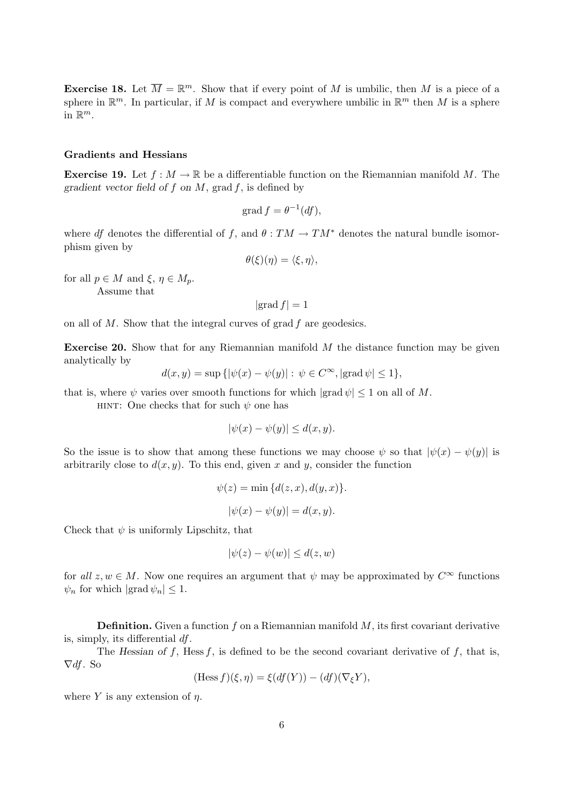**Exercise 18.** Let  $\overline{M} = \mathbb{R}^m$ . Show that if every point of M is umbilic, then M is a piece of a sphere in  $\mathbb{R}^m$ . In particular, if M is compact and everywhere umbilic in  $\mathbb{R}^m$  then M is a sphere in  $\mathbb{R}^m$ .

#### Gradients and Hessians

**Exercise 19.** Let  $f : M \to \mathbb{R}$  be a differentiable function on the Riemannian manifold M. The gradient vector field of f on  $M$ , grad f, is defined by

$$
\operatorname{grad} f = \theta^{-1}(df),
$$

where df denotes the differential of f, and  $\theta : TM \to TM^*$  denotes the natural bundle isomorphism given by

$$
\theta(\xi)(\eta) = \langle \xi, \eta \rangle,
$$

for all  $p \in M$  and  $\xi, \eta \in M_p$ . Assume that

$$
|\text{grad } f| = 1
$$

on all of  $M$ . Show that the integral curves of grad  $f$  are geodesics.

**Exercise 20.** Show that for any Riemannian manifold  $M$  the distance function may be given analytically by

$$
d(x, y) = \sup\left\{ |\psi(x) - \psi(y)| : \psi \in C^{\infty}, |\text{grad }\psi| \le 1 \right\},\
$$

that is, where  $\psi$  varies over smooth functions for which  $|\text{grad }\psi| \leq 1$  on all of M.

HINT: One checks that for such  $\psi$  one has

$$
|\psi(x) - \psi(y)| \le d(x, y).
$$

So the issue is to show that among these functions we may choose  $\psi$  so that  $|\psi(x) - \psi(y)|$  is arbitrarily close to  $d(x, y)$ . To this end, given x and y, consider the function

$$
\psi(z) = \min \{d(z, x), d(y, x)\}.
$$

$$
|\psi(x) - \psi(y)| = d(x, y).
$$

Check that  $\psi$  is uniformly Lipschitz, that

$$
|\psi(z) - \psi(w)| \le d(z, w)
$$

for all  $z, w \in M$ . Now one requires an argument that  $\psi$  may be approximated by  $C^{\infty}$  functions  $\psi_n$  for which  $|\text{grad } \psi_n| \leq 1$ .

**Definition.** Given a function f on a Riemannian manifold  $M$ , its first covariant derivative is, simply, its differential df.

The Hessian of f, Hess f, is defined to be the second covariant derivative of f, that is,  $\nabla df$ . So

$$
(\text{Hess } f)(\xi, \eta) = \xi(df(Y)) - (df)(\nabla_{\xi}Y),
$$

where Y is any extension of  $\eta$ .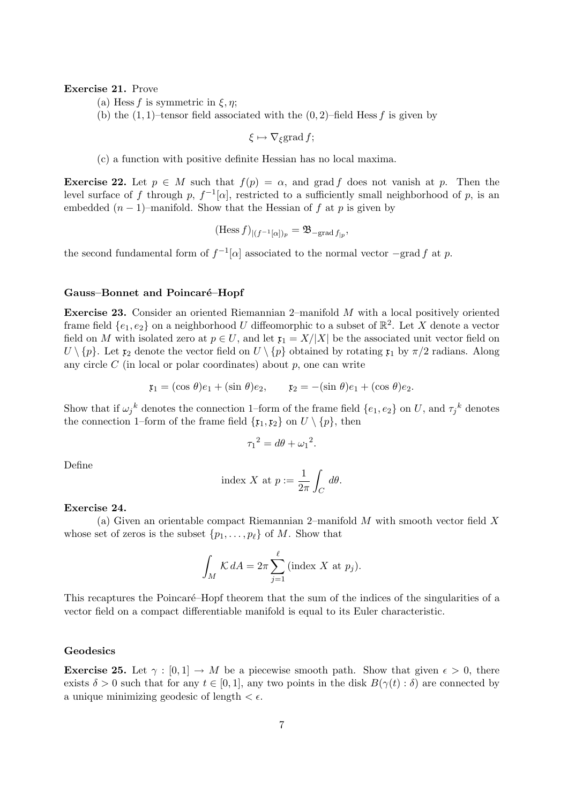# Exercise 21. Prove

(a) Hess f is symmetric in  $\xi, \eta$ ;

(b) the  $(1, 1)$ –tensor field associated with the  $(0, 2)$ –field Hess f is given by

 $\xi \mapsto \nabla_{\xi}$ grad f;

(c) a function with positive definite Hessian has no local maxima.

**Exercise 22.** Let  $p \in M$  such that  $f(p) = \alpha$ , and grad f does not vanish at p. Then the level surface of f through p,  $f^{-1}[\alpha]$ , restricted to a sufficiently small neighborhood of p, is an embedded  $(n-1)$ –manifold. Show that the Hessian of f at p is given by

$$
(\mathrm{Hess}\,f)_{|(f^{-1}[\alpha])_p}=\mathfrak{B}_{-\mathrm{grad}\,f_{|p}},
$$

the second fundamental form of  $f^{-1}[\alpha]$  associated to the normal vector  $-\text{grad } f$  at p.

#### Gauss–Bonnet and Poincaré–Hopf

Exercise 23. Consider an oriented Riemannian 2–manifold M with a local positively oriented frame field  $\{e_1, e_2\}$  on a neighborhood U diffeomorphic to a subset of  $\mathbb{R}^2$ . Let X denote a vector field on M with isolated zero at  $p \in U$ , and let  $\mathfrak{x}_1 = X/|X|$  be the associated unit vector field on  $U \setminus \{p\}$ . Let  $\mathfrak{x}_2$  denote the vector field on  $U \setminus \{p\}$  obtained by rotating  $\mathfrak{x}_1$  by  $\pi/2$  radians. Along any circle  $C$  (in local or polar coordinates) about  $p$ , one can write

$$
\mathfrak{x}_1 = (\cos \theta)e_1 + (\sin \theta)e_2, \qquad \mathfrak{x}_2 = -(\sin \theta)e_1 + (\cos \theta)e_2.
$$

Show that if  $\omega_j{}^k$  denotes the connection 1-form of the frame field  $\{e_1, e_2\}$  on U, and  $\tau_j{}^k$  denotes the connection 1–form of the frame field  $\{x_1, x_2\}$  on  $U \setminus \{p\}$ , then

$$
\tau_1^2 = d\theta + \omega_1^2.
$$

Define

index X at 
$$
p := \frac{1}{2\pi} \int_C d\theta
$$
.

#### Exercise 24.

(a) Given an orientable compact Riemannian 2–manifold  $M$  with smooth vector field  $X$ whose set of zeros is the subset  $\{p_1, \ldots, p_\ell\}$  of M. Show that

$$
\int_M \mathcal{K} dA = 2\pi \sum_{j=1}^{\ell} (\text{index } X \text{ at } p_j).
$$

This recaptures the Poincaré–Hopf theorem that the sum of the indices of the singularities of a vector field on a compact differentiable manifold is equal to its Euler characteristic.

# Geodesics

**Exercise 25.** Let  $\gamma : [0,1] \to M$  be a piecewise smooth path. Show that given  $\epsilon > 0$ , there exists  $\delta > 0$  such that for any  $t \in [0, 1]$ , any two points in the disk  $B(\gamma(t) : \delta)$  are connected by a unique minimizing geodesic of length  $\lt \epsilon$ .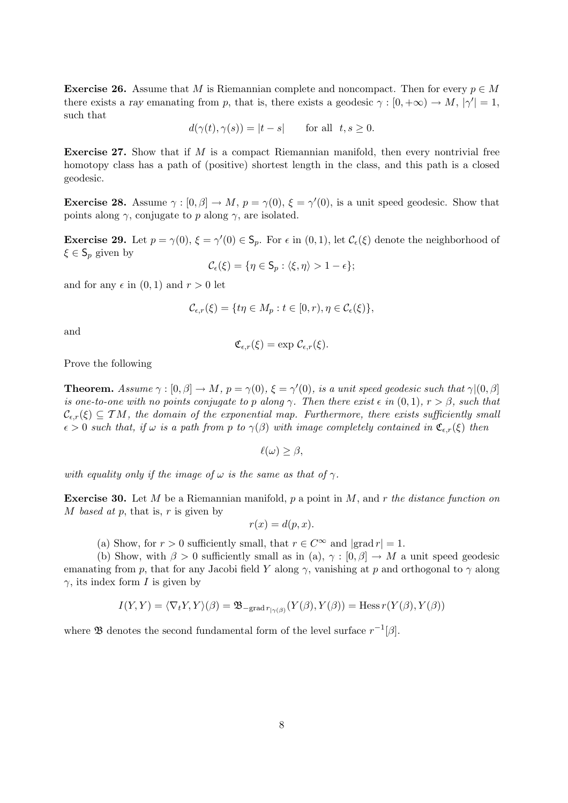**Exercise 26.** Assume that M is Riemannian complete and noncompact. Then for every  $p \in M$ there exists a ray emanating from p, that is, there exists a geodesic  $\gamma : [0, +\infty) \to M$ ,  $|\gamma'| = 1$ , such that

$$
d(\gamma(t), \gamma(s)) = |t - s| \quad \text{for all } t, s \ge 0.
$$

Exercise 27. Show that if M is a compact Riemannian manifold, then every nontrivial free homotopy class has a path of (positive) shortest length in the class, and this path is a closed geodesic.

**Exercise 28.** Assume  $\gamma : [0, \beta] \to M$ ,  $p = \gamma(0)$ ,  $\xi = \gamma'(0)$ , is a unit speed geodesic. Show that points along  $\gamma$ , conjugate to p along  $\gamma$ , are isolated.

**Exercise 29.** Let  $p = \gamma(0), \xi = \gamma'(0) \in \mathbb{S}_p$ . For  $\epsilon$  in  $(0, 1)$ , let  $\mathcal{C}_{\epsilon}(\xi)$  denote the neighborhood of  $\xi \in \mathsf{S}_p$  given by

$$
\mathcal{C}_{\epsilon}(\xi) = \{ \eta \in \mathsf{S}_p : \langle \xi, \eta \rangle > 1 - \epsilon \};
$$

and for any  $\epsilon$  in  $(0, 1)$  and  $r > 0$  let

$$
\mathcal{C}_{\epsilon,r}(\xi) = \{ t\eta \in M_p : t \in [0,r), \eta \in \mathcal{C}_{\epsilon}(\xi) \},
$$

and

$$
\mathfrak{C}_{\epsilon,r}(\xi)=\exp\,\mathcal{C}_{\epsilon,r}(\xi).
$$

Prove the following

**Theorem.** Assume  $\gamma : [0, \beta] \to M$ ,  $p = \gamma(0)$ ,  $\xi = \gamma'(0)$ , is a unit speed geodesic such that  $\gamma |(0, \beta)|$ is one-to-one with no points conjugate to p along  $\gamma$ . Then there exist  $\epsilon$  in  $(0, 1)$ ,  $r > \beta$ , such that  $\mathcal{C}_{\epsilon,r}(\xi) \subseteq TM$ , the domain of the exponential map. Furthermore, there exists sufficiently small  $\epsilon > 0$  such that, if  $\omega$  is a path from p to  $\gamma(\beta)$  with image completely contained in  $\mathfrak{C}_{\epsilon,r}(\xi)$  then

$$
\ell(\omega) \geq \beta,
$$

with equality only if the image of  $\omega$  is the same as that of  $\gamma$ .

**Exercise 30.** Let M be a Riemannian manifold, p a point in M, and r the distance function on M based at p, that is,  $r$  is given by

$$
r(x) = d(p, x).
$$

(a) Show, for  $r > 0$  sufficiently small, that  $r \in C^{\infty}$  and  $|grad r| = 1$ .

(b) Show, with  $\beta > 0$  sufficiently small as in (a),  $\gamma : [0, \beta] \to M$  a unit speed geodesic emanating from p, that for any Jacobi field Y along  $\gamma$ , vanishing at p and orthogonal to  $\gamma$  along  $\gamma$ , its index form I is given by

$$
I(Y,Y) = \langle \nabla_t Y, Y \rangle (\beta) = \mathfrak{B}_{\text{grad }r_{|\gamma(\beta)}}(Y(\beta), Y(\beta)) = \text{Hess }r(Y(\beta), Y(\beta))
$$

where **B** denotes the second fundamental form of the level surface  $r^{-1}[\beta]$ .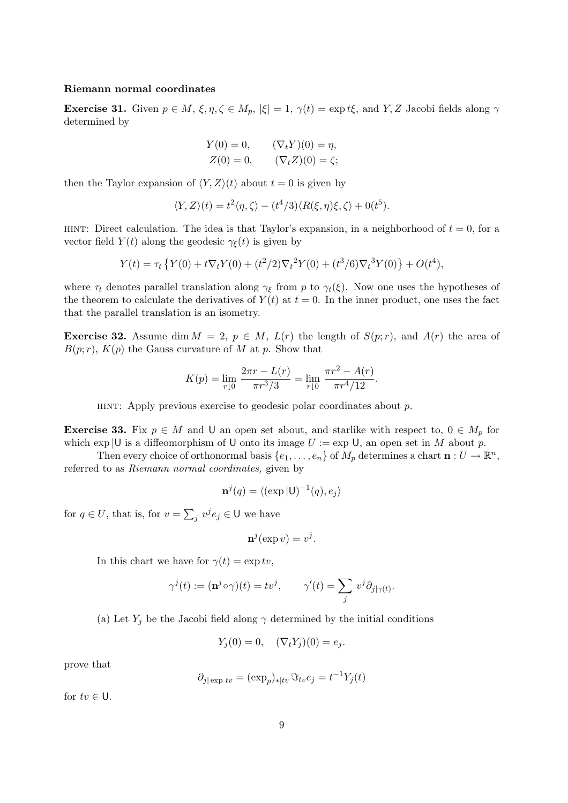# Riemann normal coordinates

**Exercise 31.** Given  $p \in M$ ,  $\xi, \eta, \zeta \in M_p$ ,  $|\xi| = 1$ ,  $\gamma(t) = \exp t \xi$ , and Y, Z Jacobi fields along  $\gamma$ determined by

$$
Y(0) = 0,
$$
  $(\nabla_t Y)(0) = \eta,$   
\n $Z(0) = 0,$   $(\nabla_t Z)(0) = \zeta;$ 

then the Taylor expansion of  $\langle Y, Z \rangle(t)$  about  $t = 0$  is given by

$$
\langle Y, Z \rangle(t) = t^2 \langle \eta, \zeta \rangle - (t^4/3) \langle R(\xi, \eta) \xi, \zeta \rangle + 0(t^5).
$$

HINT: Direct calculation. The idea is that Taylor's expansion, in a neighborhood of  $t = 0$ , for a vector field  $Y(t)$  along the geodesic  $\gamma_{\xi}(t)$  is given by

$$
Y(t) = \tau_t \left\{ Y(0) + t \nabla_t Y(0) + (t^2/2) \nabla_t^2 Y(0) + (t^3/6) \nabla_t^3 Y(0) \right\} + O(t^4),
$$

where  $\tau_t$  denotes parallel translation along  $\gamma_{\xi}$  from p to  $\gamma_t(\xi)$ . Now one uses the hypotheses of the theorem to calculate the derivatives of  $Y(t)$  at  $t = 0$ . In the inner product, one uses the fact that the parallel translation is an isometry.

**Exercise 32.** Assume dim  $M = 2$ ,  $p \in M$ ,  $L(r)$  the length of  $S(p;r)$ , and  $A(r)$  the area of  $B(p;r)$ ,  $K(p)$  the Gauss curvature of M at p. Show that

$$
K(p) = \lim_{r \downarrow 0} \frac{2\pi r - L(r)}{\pi r^3 / 3} = \lim_{r \downarrow 0} \frac{\pi r^2 - A(r)}{\pi r^4 / 12}.
$$

HINT: Apply previous exercise to geodesic polar coordinates about  $p$ .

**Exercise 33.** Fix  $p \in M$  and U an open set about, and starlike with respect to,  $0 \in M_p$  for which  $\exp|U$  is a diffeomorphism of U onto its image  $U := \exp U$ , an open set in M about p.

Then every choice of orthonormal basis  $\{e_1, \ldots, e_n\}$  of  $M_p$  determines a chart  $\mathbf{n}: U \to \mathbb{R}^n$ , referred to as Riemann normal coordinates, given by

$$
\mathbf{n}^{j}(q) = \langle (\exp | \mathsf{U})^{-1}(q), e_{j} \rangle
$$

for  $q \in U$ , that is, for  $v =$  $\overline{ }$  $j \ v^j e_j \in U$  we have

$$
\mathbf{n}^j(\exp v) = v^j.
$$

In this chart we have for  $\gamma(t) = \exp tv$ ,

$$
\gamma^{j}(t) := (\mathbf{n}^{j} \circ \gamma)(t) = tv^{j}, \qquad \gamma'(t) = \sum_{j} v^{j} \partial_{j|\gamma(t)}.
$$

(a) Let  $Y_j$  be the Jacobi field along  $\gamma$  determined by the initial conditions

$$
Y_j(0) = 0, \quad (\nabla_t Y_j)(0) = e_j.
$$

prove that

$$
\partial_{j|\exp tv} = (\exp_p)_{*|tv} \Im_{tv} e_j = t^{-1} Y_j(t)
$$

for  $tv \in U$ .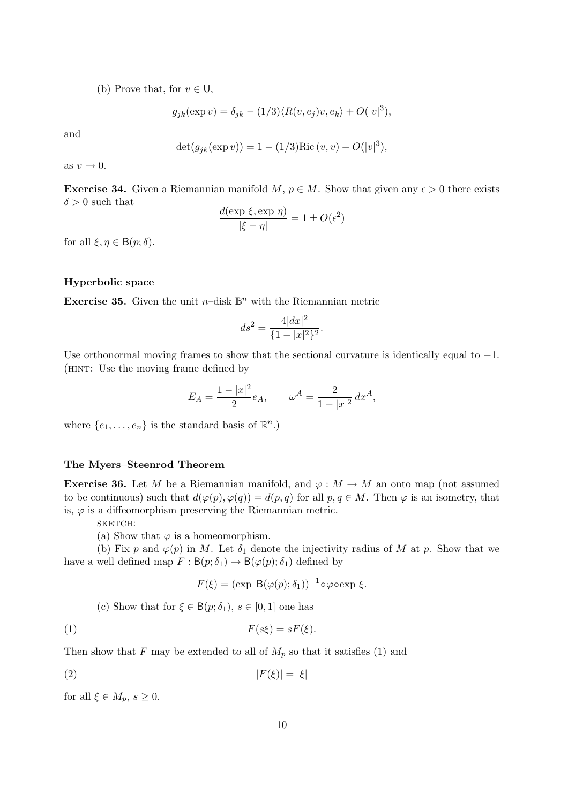(b) Prove that, for  $v \in U$ ,

$$
g_{jk}(\exp v) = \delta_{jk} - (1/3)\langle R(v, e_j)v, e_k\rangle + O(|v|^3),
$$

and

$$
\det(g_{jk}(\exp v)) = 1 - (1/3)\text{Ric}(v, v) + O(|v|^3),
$$

as  $v \rightarrow 0$ .

**Exercise 34.** Given a Riemannian manifold M,  $p \in M$ . Show that given any  $\epsilon > 0$  there exists  $\delta > 0$  such that

$$
\frac{d(\exp \xi, \exp \eta)}{|\xi - \eta|} = 1 \pm O(\epsilon^2)
$$

for all  $\xi, \eta \in B(p; \delta)$ .

# Hyperbolic space

**Exercise 35.** Given the unit  $n$ -disk  $\mathbb{B}^n$  with the Riemannian metric

$$
ds^2 = \frac{4|dx|^2}{\{1 - |x|^2\}^2}.
$$

Use orthonormal moving frames to show that the sectional curvature is identically equal to  $-1$ . (hint: Use the moving frame defined by

$$
E_A = \frac{1 - |x|^2}{2} e_A, \qquad \omega^A = \frac{2}{1 - |x|^2} dx^A,
$$

where  $\{e_1, \ldots, e_n\}$  is the standard basis of  $\mathbb{R}^n$ .)

# The Myers–Steenrod Theorem

**Exercise 36.** Let M be a Riemannian manifold, and  $\varphi : M \to M$  an onto map (not assumed to be continuous) such that  $d(\varphi(p), \varphi(q)) = d(p, q)$  for all  $p, q \in M$ . Then  $\varphi$  is an isometry, that is,  $\varphi$  is a diffeomorphism preserving the Riemannian metric.

sketch:

(a) Show that  $\varphi$  is a homeomorphism.

(b) Fix p and  $\varphi(p)$  in M. Let  $\delta_1$  denote the injectivity radius of M at p. Show that we have a well defined map  $F : B(p; \delta_1) \to B(\varphi(p); \delta_1)$  defined by

$$
F(\xi) = (\exp |B(\varphi(p); \delta_1))^{-1} \circ \varphi \circ \exp \xi.
$$

(c) Show that for  $\xi \in B(p; \delta_1)$ ,  $s \in [0, 1]$  one has

$$
(1) \tF(s\xi) = sF(\xi).
$$

Then show that F may be extended to all of  $M_p$  so that it satisfies (1) and

$$
|F(\xi)| = |\xi|
$$

for all  $\xi \in M_p$ ,  $s \geq 0$ .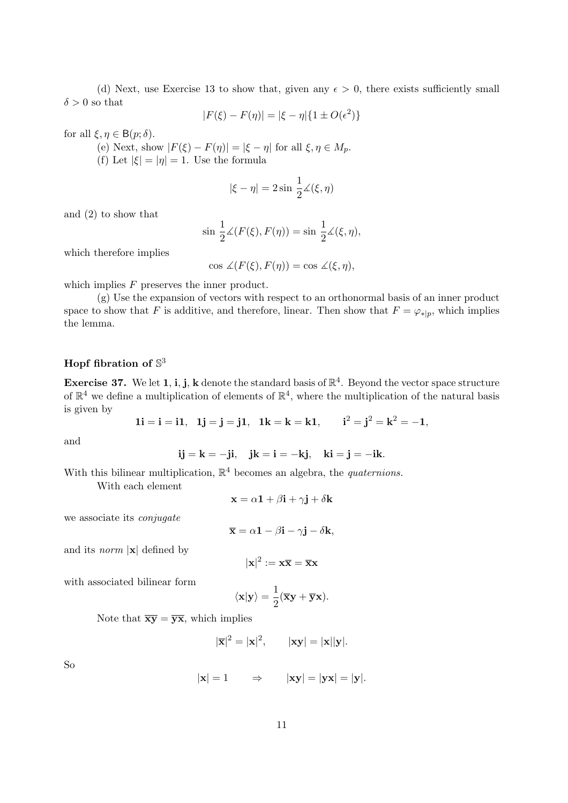(d) Next, use Exercise 13 to show that, given any  $\epsilon > 0$ , there exists sufficiently small  $\delta > 0$  so that

$$
|F(\xi) - F(\eta)| = |\xi - \eta| \{ 1 \pm O(\epsilon^2) \}
$$

for all  $\xi, \eta \in B(p; \delta)$ .

- (e) Next, show  $|F(\xi) F(\eta)| = |\xi \eta|$  for all  $\xi, \eta \in M_p$ .
- (f) Let  $|\xi| = |\eta| = 1$ . Use the formula

$$
|\xi-\eta|=2\sin\,\frac{1}{2}\measuredangle(\xi,\eta)
$$

and (2) to show that

$$
\sin \frac{1}{2}\measuredangle(F(\xi), F(\eta)) = \sin \frac{1}{2}\measuredangle(\xi, \eta),
$$

which therefore implies

 $\cos \angle (F(\xi), F(\eta)) = \cos \angle (\xi, \eta),$ 

which implies  $F$  preserves the inner product.

(g) Use the expansion of vectors with respect to an orthonormal basis of an inner product space to show that F is additive, and therefore, linear. Then show that  $F = \varphi_{\ast|p}$ , which implies the lemma.

# Hopf fibration of  $\mathbb{S}^3$

**Exercise 37.** We let 1, i, j, k denote the standard basis of  $\mathbb{R}^4$ . Beyond the vector space structure of  $\mathbb{R}^4$  we define a multiplication of elements of  $\mathbb{R}^4$ , where the multiplication of the natural basis is given by

$$
1i = i = i1, \quad 1j = j = j1, \quad 1k = k = k1, \qquad i^2 = j^2 = k^2 = -1,
$$

and

$$
ij = k = -ji, \quad jk = i = -kj, \quad ki = j = -ik.
$$

With this bilinear multiplication,  $\mathbb{R}^4$  becomes an algebra, the *quaternions*.

With each element

$$
\mathbf{x} = \alpha \mathbf{1} + \beta \mathbf{i} + \gamma \mathbf{j} + \delta \mathbf{k}
$$

we associate its conjugate

$$
\overline{\mathbf{x}} = \alpha \mathbf{1} - \beta \mathbf{i} - \gamma \mathbf{j} - \delta \mathbf{k},
$$

and its *norm*  $|x|$  defined by

 $|\mathbf{x}|^2 := \mathbf{x}\overline{\mathbf{x}} = \overline{\mathbf{x}}\mathbf{x}$ 

with associated bilinear form

$$
\langle \mathbf{x} | \mathbf{y} \rangle = \frac{1}{2} (\overline{\mathbf{x}} \mathbf{y} + \overline{\mathbf{y}} \mathbf{x}).
$$

Note that  $\overline{xy} = \overline{yx}$ , which implies

$$
|\overline{\mathbf{x}}|^2 = |\mathbf{x}|^2, \qquad |\mathbf{x}\mathbf{y}| = |\mathbf{x}||\mathbf{y}|.
$$

So

$$
|\mathbf{x}| = 1 \qquad \Rightarrow \qquad |\mathbf{x}\mathbf{y}| = |\mathbf{y}\mathbf{x}| = |\mathbf{y}|.
$$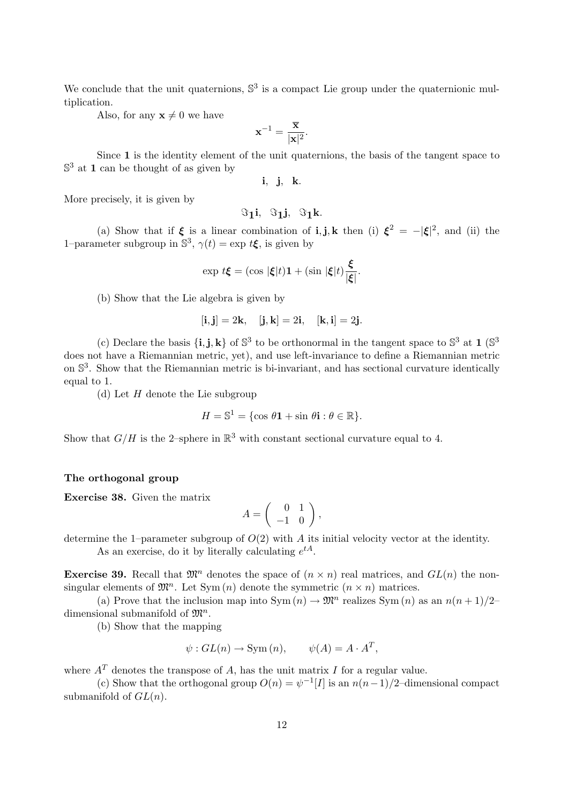We conclude that the unit quaternions,  $\mathbb{S}^3$  is a compact Lie group under the quaternionic multiplication.

Also, for any  $\mathbf{x} \neq 0$  we have

$$
\mathbf{x}^{-1} = \frac{\overline{\mathbf{x}}}{|\mathbf{x}|^2}.
$$

Since 1 is the identity element of the unit quaternions, the basis of the tangent space to  $\mathbb{S}^3$  at 1 can be thought of as given by

i, j, k.

More precisely, it is given by

$$
\Im_1i, \ \Im_1j, \ \Im_1k.
$$

(a) Show that if  $\xi$  is a linear combination of **i**, **j**, **k** then (i)  $\xi^2 = -|\xi|^2$ , and (ii) the 1–parameter subgroup in  $\mathbb{S}^3$ ,  $\gamma(t) = \exp t \xi$ , is given by

$$
\exp t\xi = (\cos |\xi|t)\mathbf{1} + (\sin |\xi|t)\frac{\xi}{|\xi|}.
$$

(b) Show that the Lie algebra is given by

$$
[\mathbf{i}, \mathbf{j}] = 2\mathbf{k}, \quad [\mathbf{j}, \mathbf{k}] = 2\mathbf{i}, \quad [\mathbf{k}, \mathbf{i}] = 2\mathbf{j}.
$$

(c) Declare the basis  $\{\mathbf i, \mathbf j, \mathbf k\}$  of  $\mathbb S^3$  to be orthonormal in the tangent space to  $\mathbb S^3$  at 1 ( $\mathbb S^3$ ) does not have a Riemannian metric, yet), and use left-invariance to define a Riemannian metric on  $\mathbb{S}^3$ . Show that the Riemannian metric is bi-invariant, and has sectional curvature identically equal to 1.

(d) Let  $H$  denote the Lie subgroup

$$
H = \mathbb{S}^1 = \{ \cos \theta \mathbf{1} + \sin \theta \mathbf{i} : \theta \in \mathbb{R} \}.
$$

Show that  $G/H$  is the 2-sphere in  $\mathbb{R}^3$  with constant sectional curvature equal to 4.

# The orthogonal group

Exercise 38. Given the matrix

$$
A = \left( \begin{array}{cc} 0 & 1 \\ -1 & 0 \end{array} \right),
$$

determine the 1–parameter subgroup of  $O(2)$  with A its initial velocity vector at the identity.

As an exercise, do it by literally calculating  $e^{tA}$ .

**Exercise 39.** Recall that  $\mathfrak{M}^n$  denotes the space of  $(n \times n)$  real matrices, and  $GL(n)$  the nonsingular elements of  $\mathfrak{M}^n$ . Let Sym  $(n)$  denote the symmetric  $(n \times n)$  matrices.

(a) Prove that the inclusion map into  $\text{Sym}(n) \to \mathfrak{M}^n$  realizes  $\text{Sym}(n)$  as an  $n(n+1)/2$ dimensional submanifold of  $\mathfrak{M}^n$ .

(b) Show that the mapping

$$
\psi: GL(n) \to \text{Sym}(n), \qquad \psi(A) = A \cdot A^T,
$$

where  $A<sup>T</sup>$  denotes the transpose of A, has the unit matrix I for a regular value.

(c) Show that the orthogonal group  $O(n) = \psi^{-1}[I]$  is an  $n(n-1)/2$ -dimensional compact submanifold of  $GL(n)$ .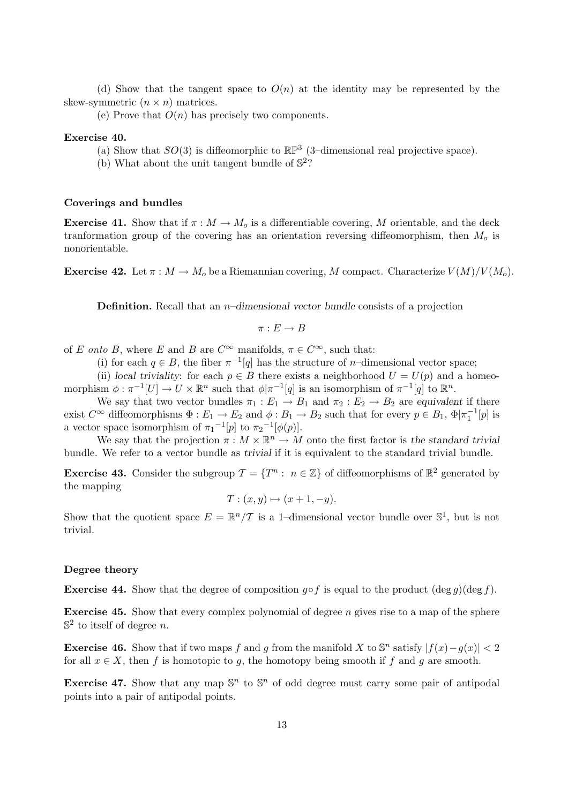(d) Show that the tangent space to  $O(n)$  at the identity may be represented by the skew-symmetric  $(n \times n)$  matrices.

(e) Prove that  $O(n)$  has precisely two components.

## Exercise 40.

- (a) Show that  $SO(3)$  is diffeomorphic to  $\mathbb{RP}^3$  (3-dimensional real projective space).
- (b) What about the unit tangent bundle of  $\mathbb{S}^2$ ?

# Coverings and bundles

**Exercise 41.** Show that if  $\pi : M \to M_0$  is a differentiable covering, M orientable, and the deck tranformation group of the covering has an orientation reversing diffeomorphism, then  $M<sub>o</sub>$  is nonorientable.

**Exercise 42.** Let  $\pi : M \to M_0$  be a Riemannian covering, M compact. Characterize  $V(M)/V(M_0)$ .

**Definition.** Recall that an  $n$ –dimensional vector bundle consists of a projection

$$
\pi: E \to B
$$

of E onto B, where E and B are  $C^{\infty}$  manifolds,  $\pi \in C^{\infty}$ , such that:

(i) for each  $q \in B$ , the fiber  $\pi^{-1}[q]$  has the structure of *n*-dimensional vector space;

(ii) local triviality: for each  $p \in B$  there exists a neighborhood  $U = U(p)$  and a homeomorphism  $\phi : \pi^{-1}[U] \to U \times \mathbb{R}^n$  such that  $\phi | \pi^{-1}[q]$  is an isomorphism of  $\pi^{-1}[q]$  to  $\mathbb{R}^n$ .

We say that two vector bundles  $\pi_1 : E_1 \to B_1$  and  $\pi_2 : E_2 \to B_2$  are equivalent if there exist  $C^{\infty}$  diffeomorphisms  $\Phi: E_1 \to E_2$  and  $\phi: B_1 \to B_2$  such that for every  $p \in B_1$ ,  $\Phi | \pi_1^{-1}[p]$  is a vector space isomorphism of  $\pi_1^{-1}[p]$  to  $\pi_2^{-1}[\phi(p)]$ .

We say that the projection  $\pi : M \times \mathbb{R}^n \to M$  onto the first factor is the standard trivial bundle. We refer to a vector bundle as trivial if it is equivalent to the standard trivial bundle.

**Exercise 43.** Consider the subgroup  $\mathcal{T} = \{T^n : n \in \mathbb{Z}\}\)$  of diffeomorphisms of  $\mathbb{R}^2$  generated by the mapping

$$
T: (x, y) \mapsto (x + 1, -y).
$$

Show that the quotient space  $E = \mathbb{R}^n/\mathcal{T}$  is a 1-dimensional vector bundle over  $\mathbb{S}^1$ , but is not trivial.

# Degree theory

**Exercise 44.** Show that the degree of composition  $g \circ f$  is equal to the product  $(\deg g)(\deg f)$ .

**Exercise 45.** Show that every complex polynomial of degree  $n$  gives rise to a map of the sphere  $\mathbb{S}^2$  to itself of degree *n*.

**Exercise 46.** Show that if two maps f and g from the manifold X to  $\mathbb{S}^n$  satisfy  $|f(x)-g(x)| < 2$ for all  $x \in X$ , then f is homotopic to g, the homotopy being smooth if f and g are smooth.

**Exercise 47.** Show that any map  $\mathbb{S}^n$  to  $\mathbb{S}^n$  of odd degree must carry some pair of antipodal points into a pair of antipodal points.